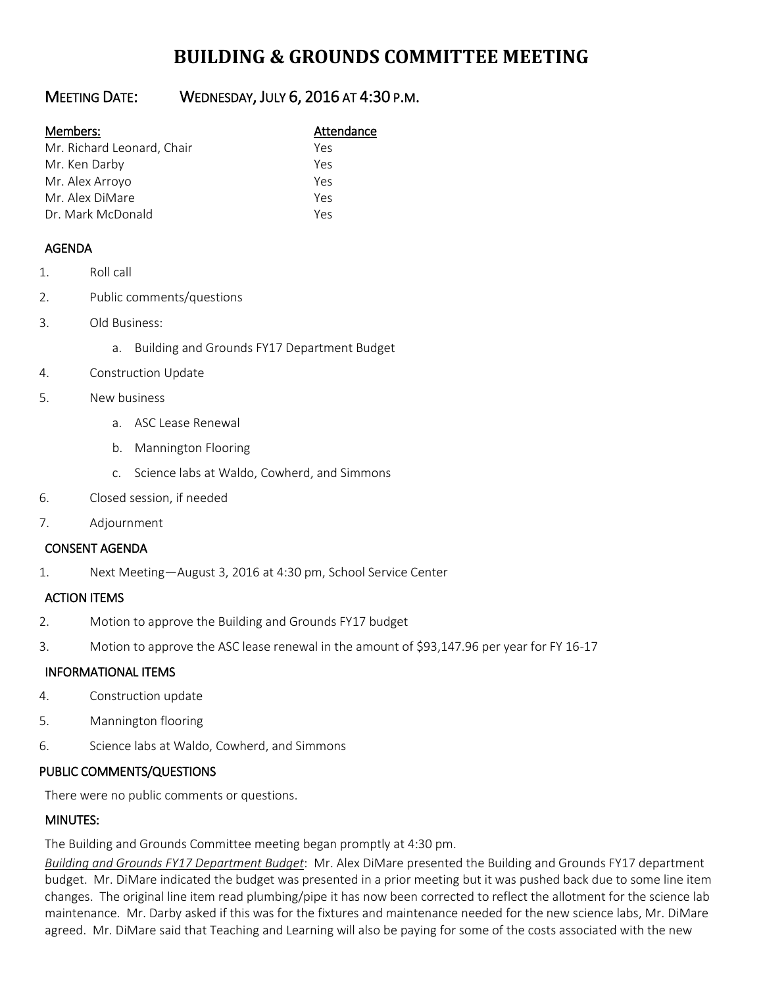# **BUILDING & GROUNDS COMMITTEE MEETING**

## MEETING DATE: WEDNESDAY, JULY 6, 2016 AT 4:30 P.M.

#### Members: Manual Members: Attendance

| Mr. Richard Leonard, Chair | Yes |
|----------------------------|-----|
| Mr. Ken Darby              | Yes |
| Mr. Alex Arroyo            | Yes |
| Mr. Alex DiMare            | Yes |
| Dr. Mark McDonald          | Yes |

### AGENDA

- 1. Roll call
- 2. Public comments/questions
- 3. Old Business:
	- a. Building and Grounds FY17 Department Budget
- 4. Construction Update
- 5. New business
	- a. ASC Lease Renewal
	- b. Mannington Flooring
	- c. Science labs at Waldo, Cowherd, and Simmons
- 6. Closed session, if needed
- 7. Adjournment

#### CONSENT AGENDA

1. Next Meeting—August 3, 2016 at 4:30 pm, School Service Center

#### ACTION ITEMS

- 2. Motion to approve the Building and Grounds FY17 budget
- 3. Motion to approve the ASC lease renewal in the amount of \$93,147.96 per year for FY 16-17

#### INFORMATIONAL ITEMS

- 4. Construction update
- 5. Mannington flooring
- 6. Science labs at Waldo, Cowherd, and Simmons

#### PUBLIC COMMENTS/QUESTIONS

There were no public comments or questions.

#### MINUTES:

The Building and Grounds Committee meeting began promptly at 4:30 pm.

*Building and Grounds FY17 Department Budget*: Mr. Alex DiMare presented the Building and Grounds FY17 department budget. Mr. DiMare indicated the budget was presented in a prior meeting but it was pushed back due to some line item changes. The original line item read plumbing/pipe it has now been corrected to reflect the allotment for the science lab maintenance. Mr. Darby asked if this was for the fixtures and maintenance needed for the new science labs, Mr. DiMare agreed. Mr. DiMare said that Teaching and Learning will also be paying for some of the costs associated with the new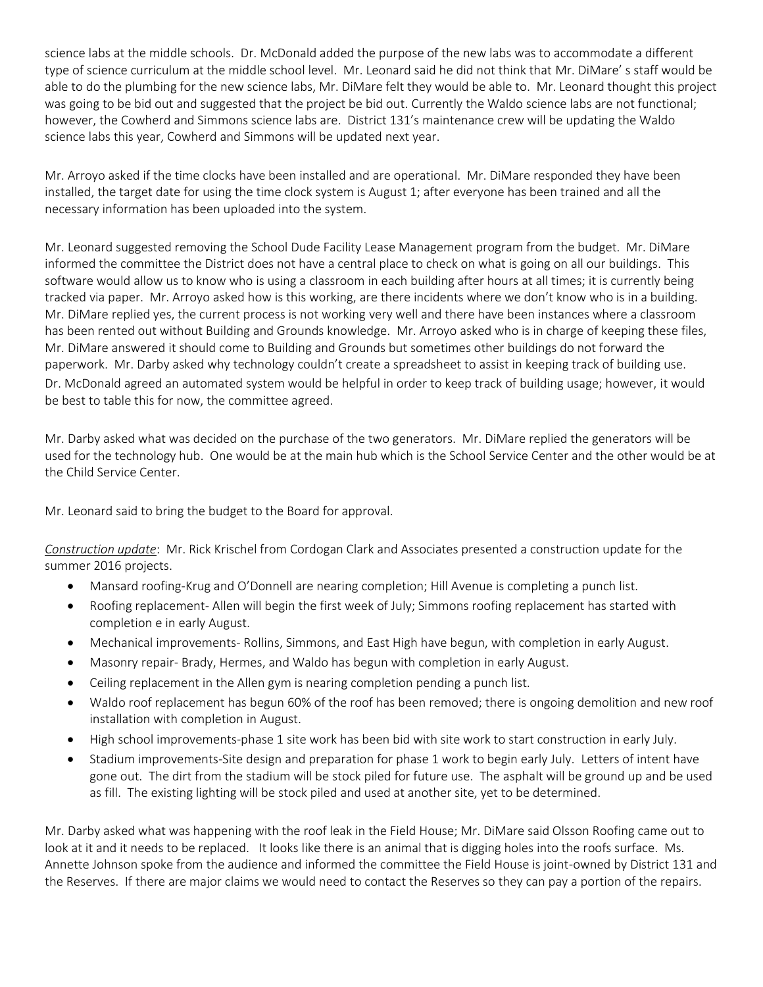science labs at the middle schools. Dr. McDonald added the purpose of the new labs was to accommodate a different type of science curriculum at the middle school level. Mr. Leonard said he did not think that Mr. DiMare' s staff would be able to do the plumbing for the new science labs, Mr. DiMare felt they would be able to. Mr. Leonard thought this project was going to be bid out and suggested that the project be bid out. Currently the Waldo science labs are not functional; however, the Cowherd and Simmons science labs are. District 131's maintenance crew will be updating the Waldo science labs this year, Cowherd and Simmons will be updated next year.

Mr. Arroyo asked if the time clocks have been installed and are operational. Mr. DiMare responded they have been installed, the target date for using the time clock system is August 1; after everyone has been trained and all the necessary information has been uploaded into the system.

Mr. Leonard suggested removing the School Dude Facility Lease Management program from the budget. Mr. DiMare informed the committee the District does not have a central place to check on what is going on all our buildings. This software would allow us to know who is using a classroom in each building after hours at all times; it is currently being tracked via paper. Mr. Arroyo asked how is this working, are there incidents where we don't know who is in a building. Mr. DiMare replied yes, the current process is not working very well and there have been instances where a classroom has been rented out without Building and Grounds knowledge. Mr. Arroyo asked who is in charge of keeping these files, Mr. DiMare answered it should come to Building and Grounds but sometimes other buildings do not forward the paperwork. Mr. Darby asked why technology couldn't create a spreadsheet to assist in keeping track of building use. Dr. McDonald agreed an automated system would be helpful in order to keep track of building usage; however, it would be best to table this for now, the committee agreed.

Mr. Darby asked what was decided on the purchase of the two generators. Mr. DiMare replied the generators will be used for the technology hub. One would be at the main hub which is the School Service Center and the other would be at the Child Service Center.

Mr. Leonard said to bring the budget to the Board for approval.

*Construction update*: Mr. Rick Krischel from Cordogan Clark and Associates presented a construction update for the summer 2016 projects.

- Mansard roofing-Krug and O'Donnell are nearing completion; Hill Avenue is completing a punch list.
- Roofing replacement- Allen will begin the first week of July; Simmons roofing replacement has started with completion e in early August.
- Mechanical improvements- Rollins, Simmons, and East High have begun, with completion in early August.
- Masonry repair- Brady, Hermes, and Waldo has begun with completion in early August.
- Ceiling replacement in the Allen gym is nearing completion pending a punch list.
- Waldo roof replacement has begun 60% of the roof has been removed; there is ongoing demolition and new roof installation with completion in August.
- High school improvements-phase 1 site work has been bid with site work to start construction in early July.
- Stadium improvements-Site design and preparation for phase 1 work to begin early July. Letters of intent have gone out. The dirt from the stadium will be stock piled for future use. The asphalt will be ground up and be used as fill. The existing lighting will be stock piled and used at another site, yet to be determined.

Mr. Darby asked what was happening with the roof leak in the Field House; Mr. DiMare said Olsson Roofing came out to look at it and it needs to be replaced. It looks like there is an animal that is digging holes into the roofs surface. Ms. Annette Johnson spoke from the audience and informed the committee the Field House is joint-owned by District 131 and the Reserves. If there are major claims we would need to contact the Reserves so they can pay a portion of the repairs.